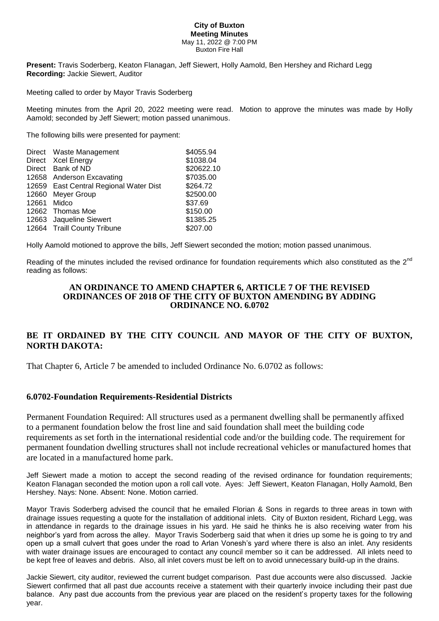## **City of Buxton Meeting Minutes** May 11, 2022 @ 7:00 PM Buxton Fire Hall

**Present:** Travis Soderberg, Keaton Flanagan, Jeff Siewert, Holly Aamold, Ben Hershey and Richard Legg **Recording:** Jackie Siewert, Auditor

Meeting called to order by Mayor Travis Soderberg

Meeting minutes from the April 20, 2022 meeting were read. Motion to approve the minutes was made by Holly Aamold; seconded by Jeff Siewert; motion passed unanimous.

The following bills were presented for payment:

|             | Direct Waste Management                | \$4055.94  |
|-------------|----------------------------------------|------------|
|             | Direct Xcel Energy                     | \$1038.04  |
|             | Direct Bank of ND                      | \$20622.10 |
|             | 12658 Anderson Excavating              | \$7035.00  |
|             | 12659 East Central Regional Water Dist | \$264.72   |
|             | 12660 Meyer Group                      | \$2500.00  |
| 12661 Midco |                                        | \$37.69    |
|             | 12662 Thomas Moe                       | \$150.00   |
|             | 12663 Jaqueline Siewert                | \$1385.25  |
|             | 12664 Traill County Tribune            | \$207.00   |

Holly Aamold motioned to approve the bills, Jeff Siewert seconded the motion; motion passed unanimous.

Reading of the minutes included the revised ordinance for foundation requirements which also constituted as the  $2^{nd}$ reading as follows:

## **AN ORDINANCE TO AMEND CHAPTER 6, ARTICLE 7 OF THE REVISED ORDINANCES OF 2018 OF THE CITY OF BUXTON AMENDING BY ADDING ORDINANCE NO. 6.0702**

## **BE IT ORDAINED BY THE CITY COUNCIL AND MAYOR OF THE CITY OF BUXTON, NORTH DAKOTA:**

That Chapter 6, Article 7 be amended to included Ordinance No. 6.0702 as follows:

## **6.0702-Foundation Requirements-Residential Districts**

Permanent Foundation Required: All structures used as a permanent dwelling shall be permanently affixed to a permanent foundation below the frost line and said foundation shall meet the building code requirements as set forth in the international residential code and/or the building code. The requirement for permanent foundation dwelling structures shall not include recreational vehicles or manufactured homes that are located in a manufactured home park.

Jeff Siewert made a motion to accept the second reading of the revised ordinance for foundation requirements; Keaton Flanagan seconded the motion upon a roll call vote. Ayes: Jeff Siewert, Keaton Flanagan, Holly Aamold, Ben Hershey. Nays: None. Absent: None. Motion carried.

Mayor Travis Soderberg advised the council that he emailed Florian & Sons in regards to three areas in town with drainage issues requesting a quote for the installation of additional inlets. City of Buxton resident, Richard Legg, was in attendance in regards to the drainage issues in his yard. He said he thinks he is also receiving water from his neighbor's yard from across the alley. Mayor Travis Soderberg said that when it dries up some he is going to try and open up a small culvert that goes under the road to Arlan Vonesh's yard where there is also an inlet. Any residents with water drainage issues are encouraged to contact any council member so it can be addressed. All inlets need to be kept free of leaves and debris. Also, all inlet covers must be left on to avoid unnecessary build-up in the drains.

Jackie Siewert, city auditor, reviewed the current budget comparison. Past due accounts were also discussed. Jackie Siewert confirmed that all past due accounts receive a statement with their quarterly invoice including their past due balance. Any past due accounts from the previous year are placed on the resident's property taxes for the following year.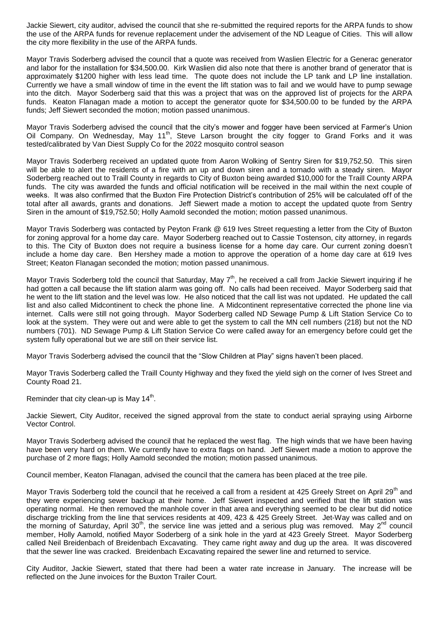Jackie Siewert, city auditor, advised the council that she re-submitted the required reports for the ARPA funds to show the use of the ARPA funds for revenue replacement under the advisement of the ND League of Cities. This will allow the city more flexibility in the use of the ARPA funds.

Mayor Travis Soderberg advised the council that a quote was received from Waslien Electric for a Generac generator and labor for the installation for \$34,500.00. Kirk Waslien did also note that there is another brand of generator that is approximately \$1200 higher with less lead time. The quote does not include the LP tank and LP line installation. Currently we have a small window of time in the event the lift station was to fail and we would have to pump sewage into the ditch. Mayor Soderberg said that this was a project that was on the approved list of projects for the ARPA funds. Keaton Flanagan made a motion to accept the generator quote for \$34,500.00 to be funded by the ARPA funds; Jeff Siewert seconded the motion; motion passed unanimous.

Mayor Travis Soderberg advised the council that the city's mower and fogger have been serviced at Farmer's Union Oil Company. On Wednesday, May 11<sup>th</sup>, Steve Larson brought the city fogger to Grand Forks and it was tested/calibrated by Van Diest Supply Co for the 2022 mosquito control season

Mayor Travis Soderberg received an updated quote from Aaron Wolking of Sentry Siren for \$19,752.50. This siren will be able to alert the residents of a fire with an up and down siren and a tornado with a steady siren. Mayor Soderberg reached out to Traill County in regards to City of Buxton being awarded \$10,000 for the Traill County ARPA funds. The city was awarded the funds and official notification will be received in the mail within the next couple of weeks. It was also confirmed that the Buxton Fire Protection District's contribution of 25% will be calculated off of the total after all awards, grants and donations. Jeff Siewert made a motion to accept the updated quote from Sentry Siren in the amount of \$19,752.50; Holly Aamold seconded the motion; motion passed unanimous.

Mayor Travis Soderberg was contacted by Peyton Frank @ 619 Ives Street requesting a letter from the City of Buxton for zoning approval for a home day care. Mayor Soderberg reached out to Cassie Tostenson, city attorney, in regards to this. The City of Buxton does not require a business license for a home day care. Our current zoning doesn't include a home day care. Ben Hershey made a motion to approve the operation of a home day care at 619 Ives Street; Keaton Flanagan seconded the motion; motion passed unanimous.

Mayor Travis Soderberg told the council that Saturday, May  $7<sup>th</sup>$ , he received a call from Jackie Siewert inquiring if he had gotten a call because the lift station alarm was going off. No calls had been received. Mayor Soderberg said that he went to the lift station and the level was low. He also noticed that the call list was not updated. He updated the call list and also called Midcontinent to check the phone line. A Midcontinent representative corrected the phone line via internet. Calls were still not going through. Mayor Soderberg called ND Sewage Pump & Lift Station Service Co to look at the system. They were out and were able to get the system to call the MN cell numbers (218) but not the ND numbers (701). ND Sewage Pump & Lift Station Service Co were called away for an emergency before could get the system fully operational but we are still on their service list.

Mayor Travis Soderberg advised the council that the "Slow Children at Play" signs haven't been placed.

Mayor Travis Soderberg called the Traill County Highway and they fixed the yield sigh on the corner of Ives Street and County Road 21.

Reminder that city clean-up is May 14<sup>th</sup>.

Jackie Siewert, City Auditor, received the signed approval from the state to conduct aerial spraying using Airborne Vector Control.

Mayor Travis Soderberg advised the council that he replaced the west flag. The high winds that we have been having have been very hard on them. We currently have to extra flags on hand. Jeff Siewert made a motion to approve the purchase of 2 more flags; Holly Aamold seconded the motion; motion passed unanimous.

Council member, Keaton Flanagan, advised the council that the camera has been placed at the tree pile.

Mayor Travis Soderberg told the council that he received a call from a resident at 425 Greely Street on April 29<sup>th</sup> and they were experiencing sewer backup at their home. Jeff Siewert inspected and verified that the lift station was operating normal. He then removed the manhole cover in that area and everything seemed to be clear but did notice discharge trickling from the line that services residents at 409, 423 & 425 Greely Street. Jet-Way was called and on the morning of Saturday, April 30<sup>th</sup>, the service line was jetted and a serious plug was removed. May 2<sup>nd</sup> council member, Holly Aamold, notified Mayor Soderberg of a sink hole in the yard at 423 Greely Street. Mayor Soderberg called Neil Breidenbach of Breidenbach Excavating. They came right away and dug up the area. It was discovered that the sewer line was cracked. Breidenbach Excavating repaired the sewer line and returned to service.

City Auditor, Jackie Siewert, stated that there had been a water rate increase in January. The increase will be reflected on the June invoices for the Buxton Trailer Court.